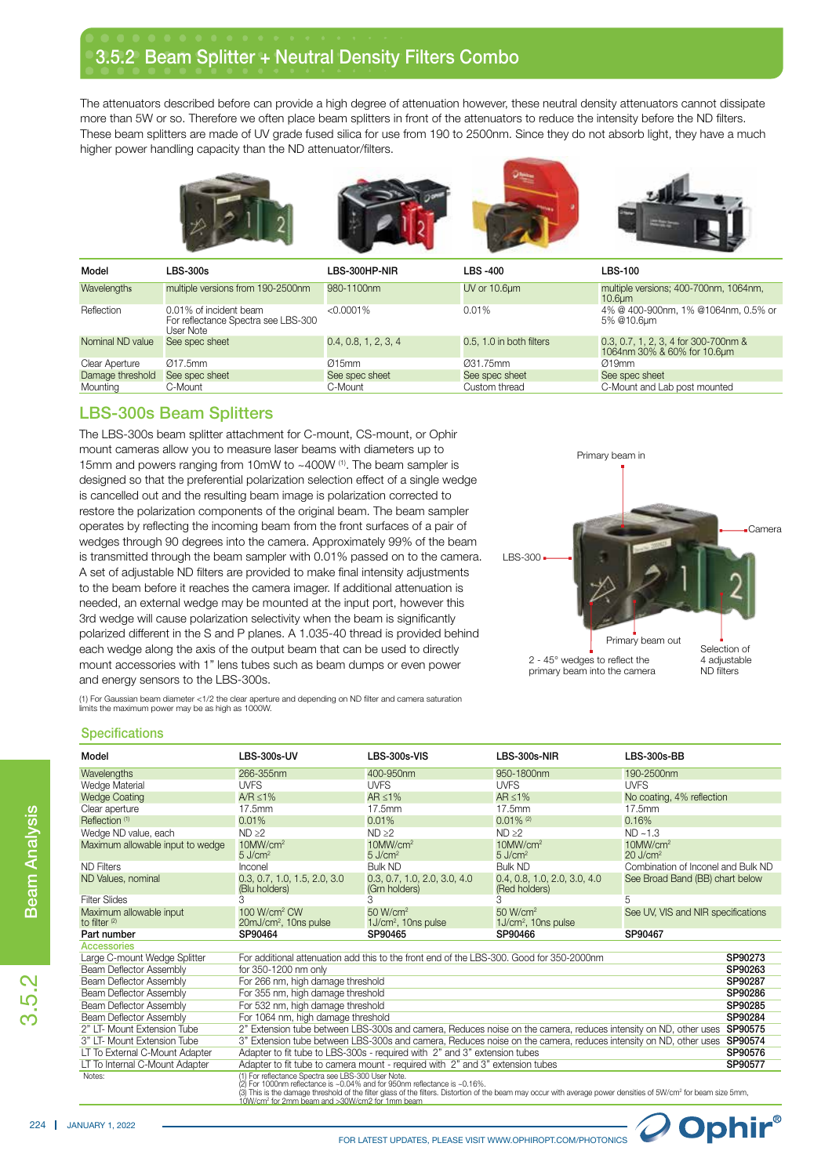## 3.5.2 Beam Splitter + Neutral Density Filters Combo

The attenuators described before can provide a high degree of attenuation however, these neutral density attenuators cannot dissipate more than 5W or so. Therefore we often place beam splitters in front of the attenuators to reduce the intensity before the ND filters. These beam splitters are made of UV grade fused silica for use from 190 to 2500nm. Since they do not absorb light, they have a much higher power handling capacity than the ND attenuator/filters.









| Model            | <b>LBS-300s</b>                                                            | LBS-300HP-NIR        | LBS -400                 | <b>LBS-100</b>                                                      |
|------------------|----------------------------------------------------------------------------|----------------------|--------------------------|---------------------------------------------------------------------|
| Wavelengths      | multiple versions from 190-2500nm                                          | 980-1100nm           | UV or 10.6um             | multiple versions; 400-700nm, 1064nm,<br>10.6 <sub>um</sub>         |
| Reflection       | 0.01% of incident beam<br>For reflectance Spectra see LBS-300<br>User Note | $< 0.0001\%$         | 0.01%                    | 4% @ 400-900nm, 1% @1064nm, 0.5% or<br>5% @10.6um                   |
| Nominal ND value | See spec sheet                                                             | 0.4, 0.8, 1, 2, 3, 4 | 0.5, 1.0 in both filters | 0.3, 0.7, 1, 2, 3, 4 for 300-700nm &<br>1064nm 30% & 60% for 10.6um |
| Clear Aperture   | Ø17.5mm                                                                    | Q15mm                | 031.75mm                 | Q19mm                                                               |
| Damage threshold | See spec sheet                                                             | See spec sheet       | See spec sheet           | See spec sheet                                                      |
| Mounting         | C-Mount                                                                    | C-Mount              | Custom thread            | C-Mount and Lab post mounted                                        |

## LBS-300s Beam Splitters

The LBS-300s beam splitter attachment for C-mount, CS-mount, or Ophir mount cameras allow you to measure laser beams with diameters up to 15mm and powers ranging from 10mW to ~400W (1). The beam sampler is designed so that the preferential polarization selection effect of a single wedge is cancelled out and the resulting beam image is polarization corrected to restore the polarization components of the original beam. The beam sampler operates by reflecting the incoming beam from the front surfaces of a pair of wedges through 90 degrees into the camera. Approximately 99% of the beam is transmitted through the beam sampler with 0.01% passed on to the camera. A set of adjustable ND filters are provided to make final intensity adjustments to the beam before it reaches the camera imager. If additional attenuation is needed, an external wedge may be mounted at the input port, however this 3rd wedge will cause polarization selectivity when the beam is significantly polarized different in the S and P planes. A 1.035-40 thread is provided behind each wedge along the axis of the output beam that can be used to directly mount accessories with 1" lens tubes such as beam dumps or even power and energy sensors to the LBS-300s.



(1) For Gaussian beam diameter <1/2 the clear aperture and depending on ND filter and camera saturation limits the maximum power may be as high as 1000W.

## **Specifications**

| Model                                                                                                                                                                                                                                                                                                                                                                                  | LBS-300s-UV                                                                                                                | LBS-300s-VIS                                                                  | LBS-300s-NIR                                            | LBS-300s-BB                                       |         |  |
|----------------------------------------------------------------------------------------------------------------------------------------------------------------------------------------------------------------------------------------------------------------------------------------------------------------------------------------------------------------------------------------|----------------------------------------------------------------------------------------------------------------------------|-------------------------------------------------------------------------------|---------------------------------------------------------|---------------------------------------------------|---------|--|
| Wavelengths                                                                                                                                                                                                                                                                                                                                                                            | 266-355nm                                                                                                                  | 400-950nm                                                                     | 950-1800nm                                              | 190-2500nm                                        |         |  |
| Wedge Material                                                                                                                                                                                                                                                                                                                                                                         | <b>UVFS</b>                                                                                                                | <b>UVFS</b>                                                                   | <b>UVFS</b>                                             | <b>UVFS</b>                                       |         |  |
| <b>Wedge Coating</b>                                                                                                                                                                                                                                                                                                                                                                   | $A/R < 1\%$                                                                                                                | $AR < 1\%$                                                                    | $AR < 1\%$                                              | No coating, 4% reflection                         |         |  |
| Clear aperture                                                                                                                                                                                                                                                                                                                                                                         | 17.5mm                                                                                                                     | 17.5mm                                                                        | 17.5mm                                                  | 17.5mm                                            |         |  |
| Reflection <sup>(1)</sup>                                                                                                                                                                                                                                                                                                                                                              | 0.01%                                                                                                                      | 0.01%                                                                         | $0.01\%$ <sup>(2)</sup>                                 | 0.16%                                             |         |  |
| Wedge ND value, each                                                                                                                                                                                                                                                                                                                                                                   | ND > 2                                                                                                                     | ND > 2                                                                        | ND > 2                                                  | $ND - 1.3$                                        |         |  |
| Maximum allowable input to wedge                                                                                                                                                                                                                                                                                                                                                       | $10$ MW/cm <sup>2</sup><br>$5 \text{ J/cm}^2$                                                                              | $10$ MW/cm <sup>2</sup><br>$5$ J/cm <sup>2</sup>                              | $10$ MW/cm <sup>2</sup><br>$5$ J/cm <sup>2</sup>        | $10$ MW/cm <sup>2</sup><br>$20$ J/cm <sup>2</sup> |         |  |
| <b>ND Filters</b>                                                                                                                                                                                                                                                                                                                                                                      | Inconel                                                                                                                    | <b>Bulk ND</b>                                                                | <b>Bulk ND</b>                                          | Combination of Inconel and Bulk ND                |         |  |
| ND Values, nominal                                                                                                                                                                                                                                                                                                                                                                     | 0.3, 0.7, 1.0, 1.5, 2.0, 3.0<br>(Blu holders)                                                                              | 0.3, 0.7, 1.0, 2.0, 3.0, 4.0<br>(Grn holders)                                 | 0.4, 0.8, 1.0, 2.0, 3.0, 4.0<br>(Red holders)           | See Broad Band (BB) chart below                   |         |  |
| <b>Filter Slides</b>                                                                                                                                                                                                                                                                                                                                                                   | 3                                                                                                                          | 3                                                                             | 3                                                       | 5                                                 |         |  |
| Maximum allowable input<br>to filter <sup>(2)</sup>                                                                                                                                                                                                                                                                                                                                    | 100 W/cm <sup>2</sup> CW<br>20mJ/cm <sup>2</sup> , 10ns pulse                                                              | 50 W/cm <sup>2</sup><br>$1J/cm2$ , 10ns pulse                                 | 50 W/cm <sup>2</sup><br>1J/cm <sup>2</sup> , 10ns pulse | See UV, VIS and NIR specifications                |         |  |
| Part number                                                                                                                                                                                                                                                                                                                                                                            | SP90464                                                                                                                    | SP90465                                                                       | SP90466                                                 | SP90467                                           |         |  |
| Accessories                                                                                                                                                                                                                                                                                                                                                                            |                                                                                                                            |                                                                               |                                                         |                                                   |         |  |
| Large C-mount Wedge Splitter                                                                                                                                                                                                                                                                                                                                                           | For additional attenuation add this to the front end of the LBS-300. Good for 350-2000nm                                   |                                                                               |                                                         |                                                   |         |  |
| Beam Deflector Assembly                                                                                                                                                                                                                                                                                                                                                                | for 350-1200 nm only                                                                                                       |                                                                               |                                                         |                                                   |         |  |
| Beam Deflector Assembly                                                                                                                                                                                                                                                                                                                                                                | For 266 nm, high damage threshold                                                                                          |                                                                               |                                                         |                                                   |         |  |
| Beam Deflector Assembly                                                                                                                                                                                                                                                                                                                                                                | For 355 nm, high damage threshold                                                                                          |                                                                               |                                                         |                                                   |         |  |
| Beam Deflector Assembly                                                                                                                                                                                                                                                                                                                                                                | For 532 nm, high damage threshold                                                                                          |                                                                               |                                                         |                                                   |         |  |
| Beam Deflector Assembly                                                                                                                                                                                                                                                                                                                                                                | For 1064 nm, high damage threshold                                                                                         |                                                                               |                                                         |                                                   | SP90284 |  |
| 2" LT- Mount Extension Tube                                                                                                                                                                                                                                                                                                                                                            | 2" Extension tube between LBS-300s and camera, Reduces noise on the camera, reduces intensity on ND, other uses<br>SP90575 |                                                                               |                                                         |                                                   |         |  |
| 3" LT- Mount Extension Tube<br>3" Extension tube between LBS-300s and camera, Reduces noise on the camera, reduces intensity on ND, other uses<br>SP90574                                                                                                                                                                                                                              |                                                                                                                            |                                                                               |                                                         |                                                   |         |  |
| LT To External C-Mount Adapter<br>Adapter to fit tube to LBS-300s - required with 2" and 3" extension tubes<br>SP90576                                                                                                                                                                                                                                                                 |                                                                                                                            |                                                                               |                                                         |                                                   |         |  |
| LT To Internal C-Mount Adapter                                                                                                                                                                                                                                                                                                                                                         |                                                                                                                            | Adapter to fit tube to camera mount - required with 2" and 3" extension tubes |                                                         |                                                   | SP90577 |  |
| (1) For reflectance Spectra see LBS-300 User Note.<br>Notes:<br>(2) For 1000nm reflectance is ~0.04% and for 950nm reflectance is ~0.16%.<br>(3) This is the damage threshold of the filter glass of the filters. Distortion of the beam may occur with average power densities of 5W/cm <sup>2</sup> for beam size 5mm,<br>10W/cm <sup>2</sup> for 2mm beam and >30W/cm2 for 1mm beam |                                                                                                                            |                                                                               |                                                         |                                                   |         |  |

3.5.2